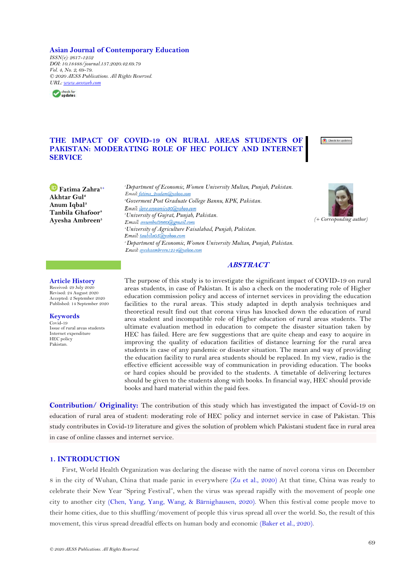**Asian Journal of Contemporary Education**

*ISSN(e): 2617-1252 DOI: 10.18488/journal.137.2020.42.69.79 Vol. 4, No. 2, 69-79. © 2020 AESS Publications. All Rights Reserved. URL: [www.aessweb.com](http://www.aessweb.com/)*



## **THE IMPACT OF COVID-19 ON RURAL AREAS STUDENTS OF PAKISTAN: MODERATING ROLE OF HEC POLICY AND INTERNET SERVICE**



*(+ Corresponding author)*

**Fatima Zahra1+ Akhtar Gul<sup>2</sup> Anum Iqbal<sup>3</sup> Tanbila Ghafoor<sup>4</sup> Ayesha Ambreen<sup>5</sup>**

*<sup>1</sup>Department of Economic, Women University Multan, Punjab, Pakistan.* Email: fatima\_2sadam@yahoo.com *<sup>2</sup>Goverment Post Graduate College Bannu, KPK, Pakistan.* Email: ilove.economics30@yahoo.com *<sup>3</sup>University of Gujrat, Punjab, Pakistan. <sup>4</sup>University of Agriculture Faisalabad, Punjab, Pakistan.* Email tanbila05@yahoo.com *<sup>5</sup>Department of Economic, Women University Multan, Punjab, Pakistan.* Email: ayeshaambreen1214@yahoo.com



#### **Article History**

Received: 29 July 2020 Revised: 24 August 2020 Accepted: 2 September 2020 Published: 14 September 2020

#### **Keywords**

Covid-19 Issue of rural areas students Internet expenditure HEC policy Pakistan.

The purpose of this study is to investigate the significant impact of COVID-19 on rural areas students, in case of Pakistan. It is also a check on the moderating role of Higher education commission policy and access of internet services in providing the education facilities to the rural areas. This study adapted in depth analysis techniques and theoretical result find out that corona virus has knocked down the education of rural area student and incompatible role of Higher education of rural areas students. The ultimate evaluation method in education to compete the disaster situation taken by HEC has failed. Here are few suggestions that are quite cheap and easy to acquire in improving the quality of education facilities of distance learning for the rural area students in case of any pandemic or disaster situation. The mean and way of providing the education facility to rural area students should be replaced. In my view, radio is the effective efficient accessible way of communication in providing education. The books or hard copies should be provided to the students. A timetable of delivering lectures should be given to the students along with books. In financial way, HEC should provide books and hard material within the paid fees.

**Contribution/ Originality:** The contribution of this study which has investigated the impact of Covid-19 on education of rural area of student: moderating role of HEC policy and internet service in case of Pakistan. This study contributes in Covid-19 literature and gives the solution of problem which Pakistani student face in rural area in case of online classes and internet service.

### **1. INTRODUCTION**

First, World Health Organization was declaring the disease with the name of novel corona virus on December 8 in the city of Wuhan, China that made panic in everywhere [\(Zu et al., 2020\)](#page-10-0) At that time, China was ready to celebrate their New Year "Spring Festival", when the virus was spread rapidly with the movement of people one city to another city [\(Chen, Yang, Yang, Wang, & Bärnighausen, 2020\)](#page-9-0). When this festival come people move to their home cities, due to this shuffling/movement of people this virus spread all over the world. So, the result of this movement, this virus spread dreadful effects on human body and economic [\(Baker et al., 2020\)](#page-9-1).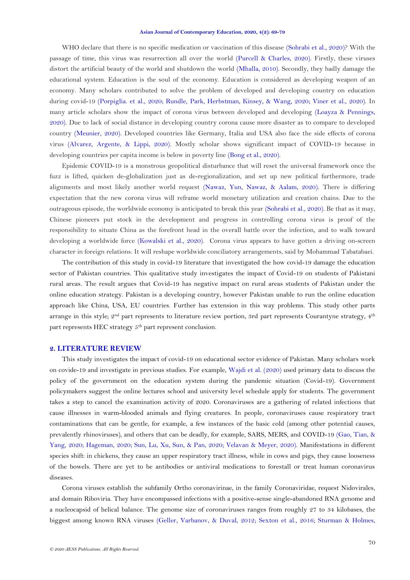#### **Asian Journal of Contemporary Education, 2020, 4(2): 69-79**

WHO declare that there is no specific medication or vaccination of this disease [\(Sohrabi et al., 2020\)](#page-9-2)? With the passage of time, this virus was resurrection all over the world [\(Purcell & Charles, 2020\)](#page-9-2). Firstly, these viruses distort the artificial beauty of the world and shutdown the world [\(Mhalla, 2010\)](#page-9-3). Secondly, they badly damage the educational system. Education is the soul of the economy. Education is considered as developing weapon of an economy. Many scholars contributed to solve the problem of developed and developing country on education during covid-19 [\(Porpiglia. et al., 2020;](#page-9-4) [Rundle, Park, Herbstman, Kinsey, & Wang, 2020;](#page-9-2) [Viner et al., 2020\)](#page-10-1). In many article scholars show the impact of corona virus between developed and developing [\(Loayza & Pennings,](#page-9-5)  [2020\)](#page-9-5). Due to lack of social distance in developing country corona cause more disaster as to compare to developed country [\(Meunier, 2020\)](#page-9-6). Developed countries like Germany, Italia and USA also face the side effects of corona virus [\(Alvarez, Argente, & Lippi, 2020\)](#page-9-7). Mostly scholar shows significant impact of COVID-19 because in developing countries per capita income is below in poverty line [\(Bong et al., 2020\)](#page-9-8).

Epidemic COVID-19 is a monstrous geopolitical disturbance that will reset the universal framework once the fuzz is lifted, quicken de-globalization just as de-regionalization, and set up new political furthermore, trade alignments and most likely another world request [\(Nawaz, Yun, Nawaz, & Aalam, 2020\)](#page-9-9). There is differing expectation that the new corona virus will reframe world monetary utilization and creation chains. Due to the outrageous episode, the worldwide economy is anticipated to break this year [\(Sohrabi et al., 2020\)](#page-9-2). Be that as it may, Chinese pioneers put stock in the development and progress in controlling corona virus is proof of the responsibility to situate China as the forefront head in the overall battle over the infection, and to walk toward developing a worldwide force [\(Kowalski et al., 2020\)](#page-9-10). Corona virus appears to have gotten a driving on-screen character in foreign relations. It will reshape worldwide conciliatory arrangements, said by Mohammad Tabatabaei.

The contribution of this study in covid-19 literature that investigated the how covid-19 damage the education sector of Pakistan countries. This qualitative study investigates the impact of Covid-19 on students of Pakistani rural areas. The result argues that Covid-19 has negative impact on rural areas students of Pakistan under the online education strategy. Pakistan is a developing country, however Pakistan unable to run the online education approach like China, USA, EU countries. Further has extension in this way problems. This study other parts arrange in this style;  $2<sup>nd</sup>$  part represents to literature review portion, 3rd part represents Courantyne strategy,  $4<sup>th</sup>$ part represents HEC strategy 5th part represent conclusion.

#### **2. LITERATURE REVIEW**

This study investigates the impact of covid-19 on educational sector evidence of Pakistan. Many scholars work on covide-19 and investigate in previous studies. For example, [Wajdi et al. \(2020\)](#page-10-2) used primary data to discuss the policy of the government on the education system during the pandemic situation (Covid-19). Government policymakers suggest the online lectures school and university level schedule apply for students. The government takes a step to cancel the examination activity of 2020. Coronaviruses are a gathering of related infections that cause illnesses in warm-blooded animals and flying creatures. In people, coronaviruses cause respiratory tract contaminations that can be gentle, for example, a few instances of the basic cold (among other potential causes, prevalently rhinoviruses), and others that can be deadly, for example, SARS, MERS, and COVID-19 [\(Gao, Tian, &](#page-9-11)  [Yang, 2020;](#page-9-11) [Hageman, 2020;](#page-9-12) [Sun, Lu, Xu, Sun, & Pan, 2020;](#page-10-3) [Velavan & Meyer, 2020\)](#page-10-4). Manifestations in different species shift: in chickens, they cause an upper respiratory tract illness, while in cows and pigs, they cause looseness of the bowels. There are yet to be antibodies or antiviral medications to forestall or treat human coronavirus diseases.

Corona viruses establish the subfamily Ortho coronavirinae, in the family Coronaviridae, request Nidovirales, and domain Riboviria. They have encompassed infections with a positive-sense single-abandoned RNA genome and a nucleocapsid of helical balance. The genome size of coronaviruses ranges from roughly 27 to 34 kilobases, the biggest among known RNA viruses [\(Geller, Varbanov, & Duval, 2012;](#page-9-13) [Sexton et al., 2016;](#page-9-2) [Sturman & Holmes,](#page-10-5)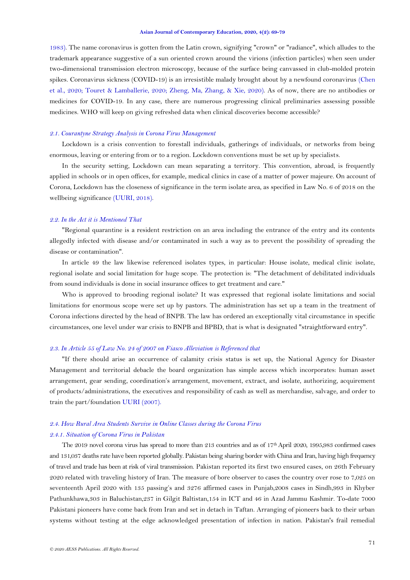[1983\)](#page-10-5). The name coronavirus is gotten from the Latin crown, signifying "crown" or "radiance", which alludes to the trademark appearance suggestive of a sun oriented crown around the virions (infection particles) when seen under two-dimensional transmission electron microscopy, because of the surface being canvassed in club-molded protein spikes. Coronavirus sickness (COVID-19) is an irresistible malady brought about by a newfound coronavirus [\(Chen](#page-9-0)  [et al., 2020;](#page-9-0) [Touret & Lamballerie, 2020;](#page-10-6) [Zheng, Ma, Zhang, & Xie, 2020\)](#page-10-7). As of now, there are no antibodies or medicines for COVID-19. In any case, there are numerous progressing clinical preliminaries assessing possible medicines. WHO will keep on giving refreshed data when clinical discoveries become accessible?

#### *2.1. Courantyne Strategy Analysis in Corona Virus Management*

Lockdown is a crisis convention to forestall individuals, gatherings of individuals, or networks from being enormous, leaving or entering from or to a region. Lockdown conventions must be set up by specialists.

In the security setting, Lockdown can mean separating a territory. This convention, abroad, is frequently applied in schools or in open offices, for example, medical clinics in case of a matter of power majeure. On account of Corona, Lockdown has the closeness of significance in the term isolate area, as specified in Law No. 6 of 2018 on the wellbeing significance [\(UURI, 2018\)](#page-10-8).

#### *2.2. In the Act it is Mentioned That*

"Regional quarantine is a resident restriction on an area including the entrance of the entry and its contents allegedly infected with disease and/or contaminated in such a way as to prevent the possibility of spreading the disease or contamination".

In article 49 the law likewise referenced isolates types, in particular: House isolate, medical clinic isolate, regional isolate and social limitation for huge scope. The protection is: "The detachment of debilitated individuals from sound individuals is done in social insurance offices to get treatment and care."

Who is approved to brooding regional isolate? It was expressed that regional isolate limitations and social limitations for enormous scope were set up by pastors. The administration has set up a team in the treatment of Corona infections directed by the head of BNPB. The law has ordered an exceptionally vital circumstance in specific circumstances, one level under war crisis to BNPB and BPBD, that is what is designated "straightforward entry".

#### *2.3. In Article 55 of Law No. 24 of 2007 on Fiasco Alleviation is Referenced that*

"If there should arise an occurrence of calamity crisis status is set up, the National Agency for Disaster Management and territorial debacle the board organization has simple access which incorporates: human asset arrangement, gear sending, coordination's arrangement, movement, extract, and isolate, authorizing, acquirement of products/administrations, the executives and responsibility of cash as well as merchandise, salvage, and order to train the part/foundation [UURI \(2007\)](#page-10-9).

### *2.4. How Rural Area Students Survive in Online Classes during the Corona Virus 2.4.1. Situation of Corona Virus in Pakistan*

The 2019 novel corona virus has spread to more than 213 countries and as of  $17<sup>th</sup>$  April 2020, 1995,983 confirmed cases and 131,037 deaths rate have been reported globally. Pakistan being sharing border with China and Iran, having high frequency of travel and trade has been at risk of viral transmission. Pakistan reported its first two ensured cases, on 26th February 2020 related with traveling history of Iran. The measure of bore observer to cases the country over rose to 7,025 on seventeenth April 2020 with 135 passing's and 3276 affirmed cases in Punjab,2008 cases in Sindh,993 in Khyber Pathunkhawa,303 in Baluchistan,237 in Gilgit Baltistan,154 in ICT and 46 in Azad Jammu Kashmir. To-date 7000 Pakistani pioneers have come back from Iran and set in detach in Taftan. Arranging of pioneers back to their urban systems without testing at the edge acknowledged presentation of infection in nation. Pakistan's frail remedial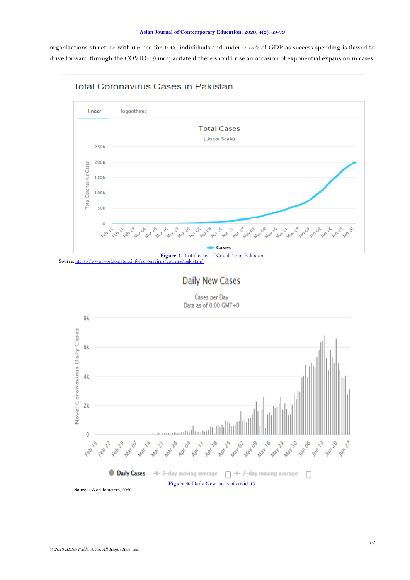organizations structure with 0.6 bed for 1000 individuals and under 0.75% of GDP as success spending is flawed to drive forward through the COVID-19 incapacitate if there should rise an occasion of exponential expansion in cases.



# **Daily New Cases**

Cases per Day Data as of 0:00 GMT+0

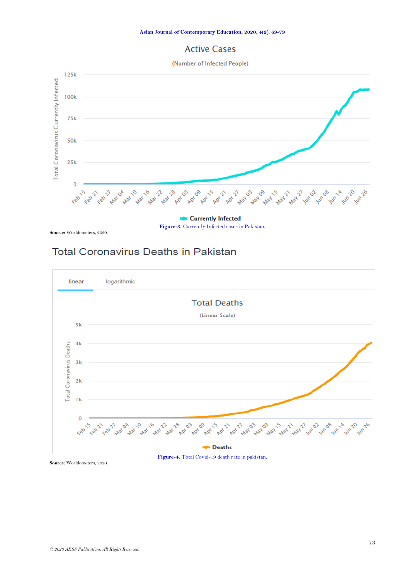## **Active Cases**

(Number of Infected People)



**Source:** Worldometers, 2020.

# **Total Coronavirus Deaths in Pakistan**

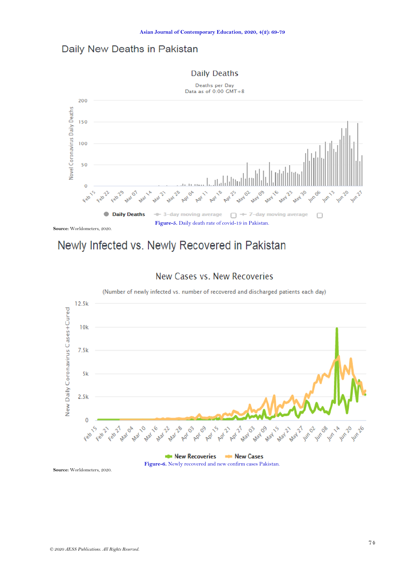# Daily New Deaths in Pakistan



# Newly Infected vs. Newly Recovered in Pakistan

# New Cases vs. New Recoveries

(Number of newly infected vs. number of recovered and discharged patients each day)



**Source:** Worldometers, 2020.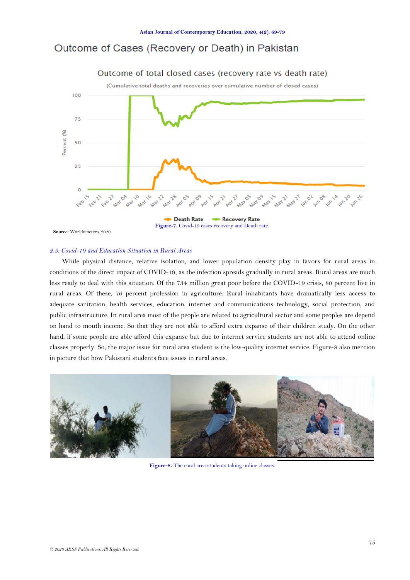## Outcome of Cases (Recovery or Death) in Pakistan



Outcome of total closed cases (recovery rate vs death rate)

#### *2.5. Covid-19 and Education Situation in Rural Areas*

While physical distance, relative isolation, and lower population density play in favors for rural areas in conditions of the direct impact of COVID-19, as the infection spreads gradually in rural areas. Rural areas are much less ready to deal with this situation. Of the 734 million great poor before the COVID-19 crisis, 80 percent live in rural areas. Of these, 76 percent profession in agriculture. Rural inhabitants have dramatically less access to adequate sanitation, health services, education, internet and communications technology, social protection, and public infrastructure. In rural area most of the people are related to agricultural sector and some peoples are depend on hand to mouth income. So that they are not able to afford extra expanse of their children study. On the other hand, if some people are able afford this expanse but due to internet service students are not able to attend online classes properly. So, the major issue for rural area student is the low-quality internet service. Figure-8 also mention in picture that how Pakistani students face issues in rural areas.



**Figure-8.** The rural area students taking online classes.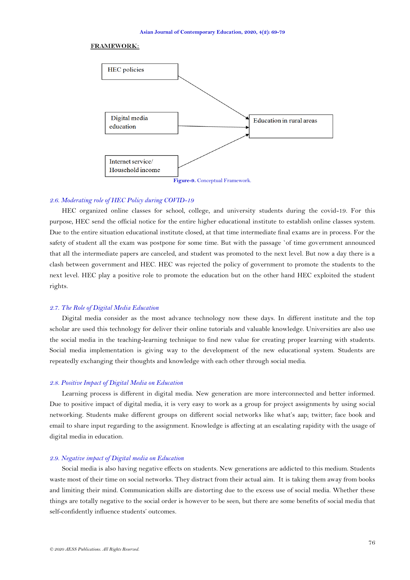#### **FRAMEWORK:**



#### *2.6. Moderating role of HEC Policy during COVID-19*

HEC organized online classes for school, college, and university students during the covid-19. For this purpose, HEC send the official notice for the entire higher educational institute to establish online classes system. Due to the entire situation educational institute closed, at that time intermediate final exams are in process. For the safety of student all the exam was postpone for some time. But with the passage `of time government announced that all the intermediate papers are canceled, and student was promoted to the next level. But now a day there is a clash between government and HEC. HEC was rejected the policy of government to promote the students to the next level. HEC play a positive role to promote the education but on the other hand HEC exploited the student rights.

#### *2.7. The Role of Digital Media Education*

Digital media consider as the most advance technology now these days. In different institute and the top scholar are used this technology for deliver their online tutorials and valuable knowledge. Universities are also use the social media in the teaching-learning technique to find new value for creating proper learning with students. Social media implementation is giving way to the development of the new educational system. Students are repeatedly exchanging their thoughts and knowledge with each other through social media.

#### *2.8. Positive Impact of Digital Media on Education*

Learning process is different in digital media. New generation are more interconnected and better informed. Due to positive impact of digital media, it is very easy to work as a group for project assignments by using social networking. Students make different groups on different social networks like what's aap; twitter; face book and email to share input regarding to the assignment. Knowledge is affecting at an escalating rapidity with the usage of digital media in education.

#### *2.9. Negative impact of Digital media on Education*

Social media is also having negative effects on students. New generations are addicted to this medium. Students waste most of their time on social networks. They distract from their actual aim. It is taking them away from books and limiting their mind. Communication skills are distorting due to the excess use of social media. Whether these things are totally negative to the social order is however to be seen, but there are some benefits of social media that self-confidently influence students' outcomes.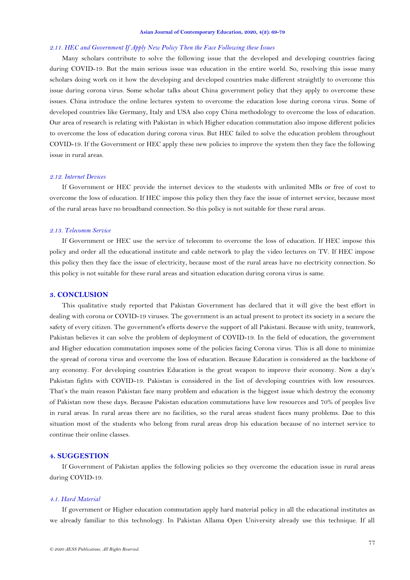#### *2.11. HEC and Government If Apply New Policy Then the Face Following these Issues*

Many scholars contribute to solve the following issue that the developed and developing countries facing during COVID-19. But the main serious issue was education in the entire world. So, resolving this issue many scholars doing work on it how the developing and developed countries make different straightly to overcome this issue during corona virus. Some scholar talks about China government policy that they apply to overcome these issues. China introduce the online lectures system to overcome the education lose during corona virus. Some of developed countries like Germany, Italy and USA also copy China methodology to overcome the loss of education. Our area of research is relating with Pakistan in which Higher education commutation also impose different policies to overcome the loss of education during corona virus. But HEC failed to solve the education problem throughout COVID-19. If the Government or HEC apply these new policies to improve the system then they face the following issue in rural areas.

#### *2.12. Internet Devices*

If Government or HEC provide the internet devices to the students with unlimited MBs or free of cost to overcome the loss of education. If HEC impose this policy then they face the issue of internet service, because most of the rural areas have no broadband connection. So this policy is not suitable for these rural areas.

#### *2.13. Telecomm Service*

If Government or HEC use the service of telecomm to overcome the loss of education. If HEC impose this policy and order all the educational institute and cable network to play the video lectures on TV. If HEC impose this policy then they face the issue of electricity, because most of the rural areas have no electricity connection. So this policy is not suitable for these rural areas and situation education during corona virus is same.

#### **3. CONCLUSION**

This qualitative study reported that Pakistan Government has declared that it will give the best effort in dealing with corona or COVID-19 viruses. The government is an actual present to protect its society in a secure the safety of every citizen. The government's efforts deserve the support of all Pakistani. Because with unity, teamwork, Pakistan believes it can solve the problem of deployment of COVID-19. In the field of education, the government and Higher education commutation imposes some of the policies facing Corona virus. This is all done to minimize the spread of corona virus and overcome the loss of education. Because Education is considered as the backbone of any economy. For developing countries Education is the great weapon to improve their economy. Now a day's Pakistan fights with COVID-19. Pakistan is considered in the list of developing countries with low resources. That's the main reason Pakistan face many problem and education is the biggest issue which destroy the economy of Pakistan now these days. Because Pakistan education commutations have low resources and 70% of peoples live in rural areas. In rural areas there are no facilities, so the rural areas student faces many problems. Due to this situation most of the students who belong from rural areas drop his education because of no internet service to continue their online classes.

#### **4. SUGGESTION**

If Government of Pakistan applies the following policies so they overcome the education issue in rural areas during COVID-19.

#### *4.1. Hard Material*

If government or Higher education commutation apply hard material policy in all the educational institutes as we already familiar to this technology. In Pakistan Allama Open University already use this technique. If all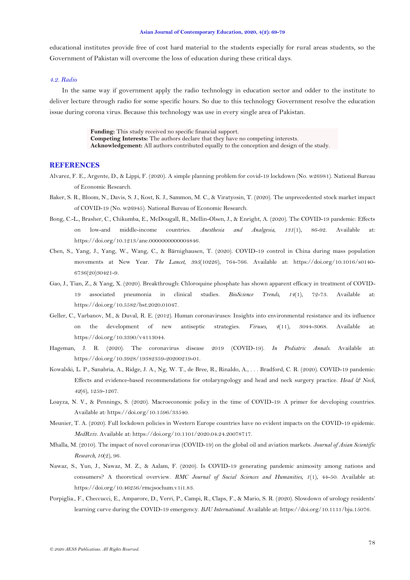#### **Asian Journal of Contemporary Education, 2020, 4(2): 69-79**

<span id="page-9-2"></span>educational institutes provide free of cost hard material to the students especially for rural areas students, so the Government of Pakistan will overcome the loss of education during these critical days.

### *4.2. Radio*

In the same way if government apply the radio technology in education sector and odder to the institute to deliver lecture through radio for some specific hours. So due to this technology Government resolve the education issue during corona virus. Because this technology was use in every single area of Pakistan.

> **Funding:** This study received no specific financial support. **Competing Interests:** The authors declare that they have no competing interests. **Acknowledgement:** All authors contributed equally to the conception and design of the study.

#### **REFERENCES**

- <span id="page-9-7"></span>Alvarez, F. E., Argente, D., & Lippi, F. (2020). A simple planning problem for covid-19 lockdown (No. w26981). National Bureau of Economic Research.
- <span id="page-9-1"></span>Baker, S. R., Bloom, N., Davis, S. J., Kost, K. J., Sammon, M. C., & Viratyosin, T. (2020). The unprecedented stock market impact of COVID-19 (No. w26945). National Bureau of Economic Research.
- <span id="page-9-8"></span>Bong, C.-L., Brasher, C., Chikumba, E., McDougall, R., Mellin-Olsen, J., & Enright, A. (2020). The COVID-19 pandemic: Effects on low-and middle-income countries. *Anesthesia and Analgesia, 131*(1), 86-92. Available at: https://doi.org/10.1213/ane.0000000000004846.
- <span id="page-9-0"></span>Chen, S., Yang, J., Yang, W., Wang, C., & Bärnighausen, T. (2020). COVID-19 control in China during mass population movements at New Year. *The Lancet, 395*(10226), 764-766. Available at: https://doi.org/10.1016/s0140- 6736(20)30421-9.
- <span id="page-9-11"></span>Gao, J., Tian, Z., & Yang, X. (2020). Breakthrough: Chloroquine phosphate has shown apparent efficacy in treatment of COVID-19 associated pneumonia in clinical studies. *BioScience Trends, 14*(1), 72-73. Available at: https://doi.org/10.5582/bst.2020.01047.
- <span id="page-9-13"></span>Geller, C., Varbanov, M., & Duval, R. E. (2012). Human coronaviruses: Insights into environmental resistance and its influence on the development of new antiseptic strategies. *Viruses, 4*(11), 3044-3068. Available at: https://doi.org/10.3390/v4113044.
- <span id="page-9-12"></span>Hageman, J. R. (2020). The coronavirus disease 2019 (COVID-19). *In Pediatric Annals*. Available at: https://doi.org/10.3928/19382359-20200219-01.
- <span id="page-9-10"></span>Kowalski, L. P., Sanabria, A., Ridge, J. A., Ng, W. T., de Bree, R., Rinaldo, A., . . . Bradford, C. R. (2020). COVID-19 pandemic: Effects and evidence-based recommendations for otolaryngology and head and neck surgery practice. *Head & Neck, 42*(6), 1259-1267.
- <span id="page-9-5"></span>Loayza, N. V., & Pennings, S. (2020). Macroeconomic policy in the time of COVID-19: A primer for developing countries. Available at: https://doi.org/10.1596/33540.
- <span id="page-9-6"></span>Meunier, T. A. (2020). Full lockdown policies in Western Europe countries have no evident impacts on the COVID-19 epidemic. *MedRxiv*. Available at: https://doi.org/10.1101/2020.04.24.20078717.
- <span id="page-9-3"></span>Mhalla, M. (2010). The impact of novel coronavirus (COVID-19) on the global oil and aviation markets. *Journal of Asian Scientific Research, 10*(2), 96.
- <span id="page-9-9"></span>Nawaz, S., Yun, J., Nawaz, M. Z., & Aalam, F. (2020). Is COVID-19 generating pandemic animosity among nations and consumers? A theoretical overview. *RMC Journal of Social Sciences and Humanities, 1*(1), 44-50. Available at: https://doi.org/10.46256/rmcjsochum.v1i1.83.
- <span id="page-9-4"></span>Porpiglia., F., Checcucci, E., Amparore, D., Verri, P., Campi, R., Claps, F., & Mario, S. R. (2020). Slowdown of urology residents' learning curve during the COVID-19 emergency. *BJU International*. Available at: https://doi.org/10.1111/bju.15076.